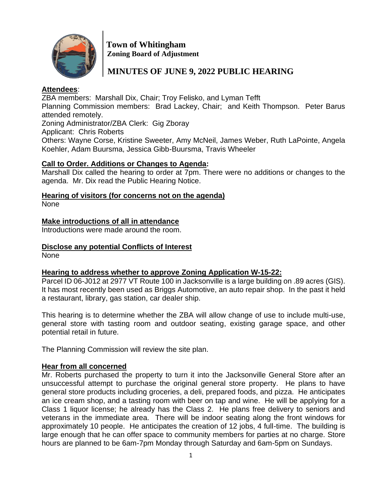

 **Town of Whitingham Zoning Board of Adjustment**

# **MINUTES OF JUNE 9, 2022 PUBLIC HEARING**

# **Attendees**:

ZBA members: Marshall Dix, Chair; Troy Felisko, and Lyman Tefft Planning Commission members: Brad Lackey, Chair; and Keith Thompson. Peter Barus attended remotely.

Zoning Administrator/ZBA Clerk: Gig Zboray

Applicant: Chris Roberts

Others: Wayne Corse, Kristine Sweeter, Amy McNeil, James Weber, Ruth LaPointe, Angela Koehler, Adam Buursma, Jessica Gibb-Buursma, Travis Wheeler

#### **Call to Order. Additions or Changes to Agenda:**

Marshall Dix called the hearing to order at 7pm. There were no additions or changes to the agenda. Mr. Dix read the Public Hearing Notice.

# **Hearing of visitors (for concerns not on the agenda)**

None

# **Make introductions of all in attendance**

Introductions were made around the room.

# **Disclose any potential Conflicts of Interest**

None

# **Hearing to address whether to approve Zoning Application W-15-22:**

Parcel ID 06-J012 at 2977 VT Route 100 in Jacksonville is a large building on .89 acres (GIS). It has most recently been used as Briggs Automotive, an auto repair shop. In the past it held a restaurant, library, gas station, car dealer ship.

This hearing is to determine whether the ZBA will allow change of use to include multi-use, general store with tasting room and outdoor seating, existing garage space, and other potential retail in future.

The Planning Commission will review the site plan.

# **Hear from all concerned**

Mr. Roberts purchased the property to turn it into the Jacksonville General Store after an unsuccessful attempt to purchase the original general store property. He plans to have general store products including groceries, a deli, prepared foods, and pizza. He anticipates an ice cream shop, and a tasting room with beer on tap and wine. He will be applying for a Class 1 liquor license; he already has the Class 2. He plans free delivery to seniors and veterans in the immediate area. There will be indoor seating along the front windows for approximately 10 people. He anticipates the creation of 12 jobs, 4 full-time. The building is large enough that he can offer space to community members for parties at no charge. Store hours are planned to be 6am-7pm Monday through Saturday and 6am-5pm on Sundays.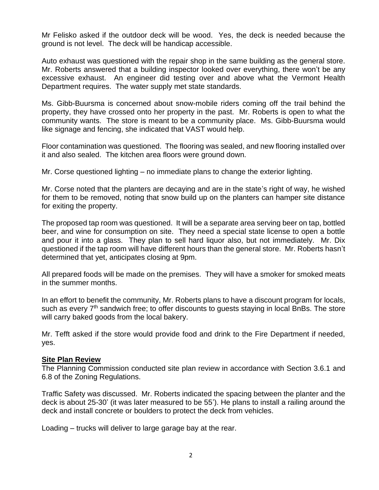Mr Felisko asked if the outdoor deck will be wood. Yes, the deck is needed because the ground is not level. The deck will be handicap accessible.

Auto exhaust was questioned with the repair shop in the same building as the general store. Mr. Roberts answered that a building inspector looked over everything, there won't be any excessive exhaust. An engineer did testing over and above what the Vermont Health Department requires. The water supply met state standards.

Ms. Gibb-Buursma is concerned about snow-mobile riders coming off the trail behind the property, they have crossed onto her property in the past. Mr. Roberts is open to what the community wants. The store is meant to be a community place. Ms. Gibb-Buursma would like signage and fencing, she indicated that VAST would help.

Floor contamination was questioned. The flooring was sealed, and new flooring installed over it and also sealed. The kitchen area floors were ground down.

Mr. Corse questioned lighting – no immediate plans to change the exterior lighting.

Mr. Corse noted that the planters are decaying and are in the state's right of way, he wished for them to be removed, noting that snow build up on the planters can hamper site distance for exiting the property.

The proposed tap room was questioned. It will be a separate area serving beer on tap, bottled beer, and wine for consumption on site. They need a special state license to open a bottle and pour it into a glass. They plan to sell hard liquor also, but not immediately. Mr. Dix questioned if the tap room will have different hours than the general store. Mr. Roberts hasn't determined that yet, anticipates closing at 9pm.

All prepared foods will be made on the premises. They will have a smoker for smoked meats in the summer months.

In an effort to benefit the community, Mr. Roberts plans to have a discount program for locals, such as every 7<sup>th</sup> sandwich free; to offer discounts to quests staying in local BnBs. The store will carry baked goods from the local bakery.

Mr. Tefft asked if the store would provide food and drink to the Fire Department if needed, yes.

#### **Site Plan Review**

The Planning Commission conducted site plan review in accordance with Section 3.6.1 and 6.8 of the Zoning Regulations.

Traffic Safety was discussed. Mr. Roberts indicated the spacing between the planter and the deck is about 25-30' (it was later measured to be 55'). He plans to install a railing around the deck and install concrete or boulders to protect the deck from vehicles.

Loading – trucks will deliver to large garage bay at the rear.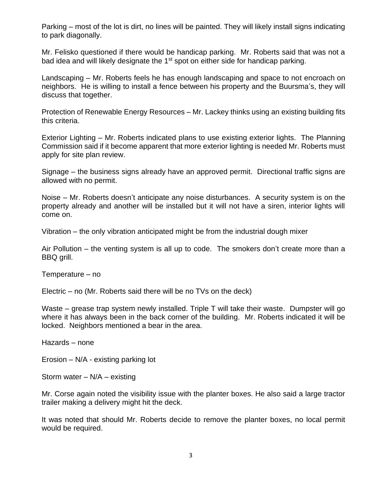Parking – most of the lot is dirt, no lines will be painted. They will likely install signs indicating to park diagonally.

Mr. Felisko questioned if there would be handicap parking. Mr. Roberts said that was not a bad idea and will likely designate the 1<sup>st</sup> spot on either side for handicap parking.

Landscaping – Mr. Roberts feels he has enough landscaping and space to not encroach on neighbors. He is willing to install a fence between his property and the Buursma's, they will discuss that together.

Protection of Renewable Energy Resources – Mr. Lackey thinks using an existing building fits this criteria.

Exterior Lighting – Mr. Roberts indicated plans to use existing exterior lights. The Planning Commission said if it become apparent that more exterior lighting is needed Mr. Roberts must apply for site plan review.

Signage – the business signs already have an approved permit. Directional traffic signs are allowed with no permit.

Noise – Mr. Roberts doesn't anticipate any noise disturbances. A security system is on the property already and another will be installed but it will not have a siren, interior lights will come on.

Vibration – the only vibration anticipated might be from the industrial dough mixer

Air Pollution – the venting system is all up to code. The smokers don't create more than a BBQ grill.

Temperature – no

Electric – no (Mr. Roberts said there will be no TVs on the deck)

Waste – grease trap system newly installed. Triple T will take their waste. Dumpster will go where it has always been in the back corner of the building. Mr. Roberts indicated it will be locked. Neighbors mentioned a bear in the area.

Hazards – none

Erosion – N/A - existing parking lot

Storm water  $-$  N/A  $-$  existing

Mr. Corse again noted the visibility issue with the planter boxes. He also said a large tractor trailer making a delivery might hit the deck.

It was noted that should Mr. Roberts decide to remove the planter boxes, no local permit would be required.